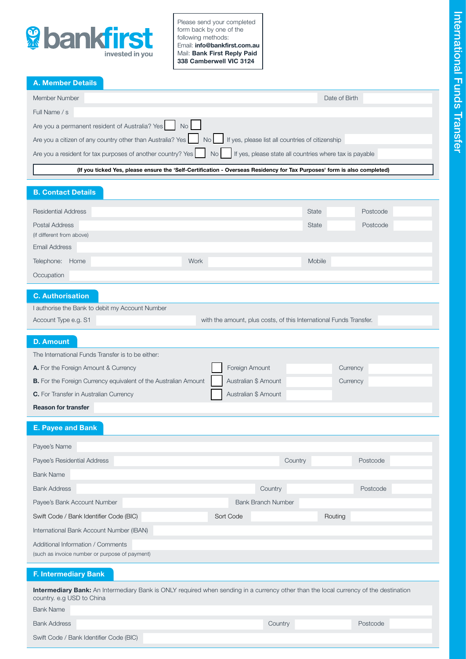

Please send your completed form back by one of the following methods: Email: info@bankfirst.com.au Mail: Bank First Reply Paid 338 Camberwell VIC 3124

A. Member Details

| Member Number                                                                                                                                                                                                                     | Date of Birth |
|-----------------------------------------------------------------------------------------------------------------------------------------------------------------------------------------------------------------------------------|---------------|
| Full Name / s                                                                                                                                                                                                                     |               |
|                                                                                                                                                                                                                                   |               |
| Are you a citizen of any country other than Australia? Yes No Subset St yes, please list all countries of citizenship                                                                                                             |               |
| Are you a resident for tax purposes of another country? Yes No No I If yes, please state all countries where tax is payable                                                                                                       |               |
| $\mathbf{u}$ . The contract of the contract of the contract of the contract of the contract of the contract of the contract of the contract of the contract of the contract of the contract of the contract of the contract of th |               |

[\(If you ticked Yes, please ensure the 'Self-Certification - Overseas Residency for Tax Purposes' form is also completed\)](https://www.bankfirst.com.au/-/media/bankfirst/pdfs/formsandapplications/self_certification_overseas-residency_for_tax_purposes_individual.pdf)

## B. Contact Details

| <b>Residential Address</b>                  |      | State  | Postcode |
|---------------------------------------------|------|--------|----------|
| Postal Address<br>(if different from above) |      | State  | Postcode |
| <b>Email Address</b>                        |      |        |          |
|                                             |      |        |          |
| Telephone: Home                             | Work | Mobile |          |
| Occupation                                  |      |        |          |
|                                             |      |        |          |

# C. Authorisation

|                      | I authorise the Bank to debit my Account Number |                                                                    |
|----------------------|-------------------------------------------------|--------------------------------------------------------------------|
| Account Type e.g. S1 |                                                 | with the amount, plus costs, of this International Funds Transfer. |

## D. Amount

| The International Funds Transfer is to be either:               |                      |          |
|-----------------------------------------------------------------|----------------------|----------|
| A. For the Foreign Amount & Currency                            | Foreign Amount       | Currency |
| B. For the Foreign Currency equivalent of the Australian Amount | Australian \$ Amount | Currency |
| <b>C.</b> For Transfer in Australian Currency                   | Australian \$ Amount |          |
| <b>Reason for transfer</b>                                      |                      |          |

E. Payee and Bank

| Payee's Name                                   |                           |          |
|------------------------------------------------|---------------------------|----------|
| Payee's Residential Address                    | Country                   | Postcode |
| <b>Bank Name</b>                               |                           |          |
| <b>Bank Address</b>                            | Country                   | Postcode |
| Payee's Bank Account Number                    | <b>Bank Branch Number</b> |          |
| Swift Code / Bank Identifier Code (BIC)        | Sort Code                 | Routing  |
| International Bank Account Number (IBAN)       |                           |          |
| Additional Information / Comments              |                           |          |
| (such as invoice number or purpose of payment) |                           |          |
|                                                |                           |          |

## F. Intermediary Bank

Intermediary Bank: An Intermediary Bank is ONLY required when sending in a currency other than the local currency of the destination country. e.g USD to China

| <b>Bank Name</b>                        |         |          |
|-----------------------------------------|---------|----------|
| <b>Bank Address</b>                     | Country | Postcode |
| Swift Code / Bank Identifier Code (BIC) |         |          |